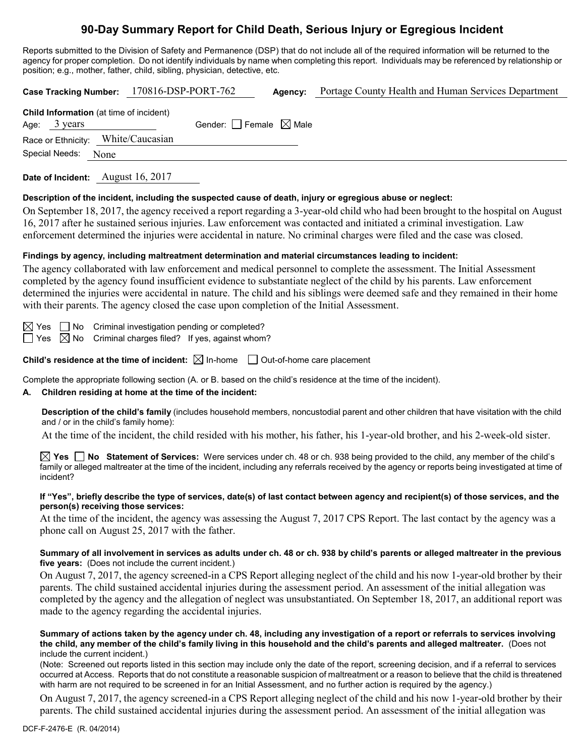# **90-Day Summary Report for Child Death, Serious Injury or Egregious Incident**

Reports submitted to the Division of Safety and Permanence (DSP) that do not include all of the required information will be returned to the agency for proper completion. Do not identify individuals by name when completing this report. Individuals may be referenced by relationship or position; e.g., mother, father, child, sibling, physician, detective, etc.

| Case Tracking Number: 170816-DSP-PORT-762<br>Portage County Health and Human Services Department<br>Agency:                                                                                                                                                                                                                                                                                                                                                                                                                                                                                  |  |  |  |  |
|----------------------------------------------------------------------------------------------------------------------------------------------------------------------------------------------------------------------------------------------------------------------------------------------------------------------------------------------------------------------------------------------------------------------------------------------------------------------------------------------------------------------------------------------------------------------------------------------|--|--|--|--|
| Child Information (at time of incident)<br>Gender: $\Box$ Female $\boxtimes$ Male<br>Age: $3 \text{ years}$                                                                                                                                                                                                                                                                                                                                                                                                                                                                                  |  |  |  |  |
| White/Caucasian<br>Race or Ethnicity:<br>Special Needs:<br>None                                                                                                                                                                                                                                                                                                                                                                                                                                                                                                                              |  |  |  |  |
| Date of Incident: August 16, 2017                                                                                                                                                                                                                                                                                                                                                                                                                                                                                                                                                            |  |  |  |  |
| Description of the incident, including the suspected cause of death, injury or egregious abuse or neglect:<br>On September 18, 2017, the agency received a report regarding a 3-year-old child who had been brought to the hospital on August<br>16, 2017 after he sustained serious injuries. Law enforcement was contacted and initiated a criminal investigation. Law<br>enforcement determined the injuries were accidental in nature. No criminal charges were filed and the case was closed.                                                                                           |  |  |  |  |
| Findings by agency, including maltreatment determination and material circumstances leading to incident:<br>The agency collaborated with law enforcement and medical personnel to complete the assessment. The Initial Assessment<br>completed by the agency found insufficient evidence to substantiate neglect of the child by his parents. Law enforcement<br>determined the injuries were accidental in nature. The child and his siblings were deemed safe and they remained in their home<br>with their parents. The agency closed the case upon completion of the Initial Assessment. |  |  |  |  |
| $\boxtimes$ Yes $\Box$ No Criminal investigation pending or completed?<br>$\boxtimes$ No Criminal charges filed? If yes, against whom?<br>$\Box$ Yes                                                                                                                                                                                                                                                                                                                                                                                                                                         |  |  |  |  |
| Child's residence at the time of incident: $\boxtimes$ In-home $\Box$ Out-of-home care placement                                                                                                                                                                                                                                                                                                                                                                                                                                                                                             |  |  |  |  |
| Complete the appropriate following section (A. or B. based on the child's residence at the time of the incident).<br>A. Children residing at home at the time of the incident:                                                                                                                                                                                                                                                                                                                                                                                                               |  |  |  |  |
| Description of the child's family (includes household members, noncustodial parent and other children that have visitation with the child<br>and / or in the child's family home):                                                                                                                                                                                                                                                                                                                                                                                                           |  |  |  |  |
| At the time of the incident, the child resided with his mother, his father, his 1-year-old brother, and his 2-week-old sister.                                                                                                                                                                                                                                                                                                                                                                                                                                                               |  |  |  |  |
| $\boxtimes$ Yes $\Box$ No Statement of Services: Were services under ch. 48 or ch. 938 being provided to the child, any member of the child's<br>family or alleged maltreater at the time of the incident, including any referrals received by the agency or reports being investigated at time of<br>incident?                                                                                                                                                                                                                                                                              |  |  |  |  |
| If "Yes", briefly describe the type of services, date(s) of last contact between agency and recipient(s) of those services, and the<br>person(s) receiving those services:                                                                                                                                                                                                                                                                                                                                                                                                                   |  |  |  |  |
| At the time of the incident, the agency was assessing the August 7, 2017 CPS Report. The last contact by the agency was a<br>phone call on August 25, 2017 with the father.                                                                                                                                                                                                                                                                                                                                                                                                                  |  |  |  |  |
| Summary of all involvement in services as adults under ch. 48 or ch. 938 by child's parents or alleged maltreater in the previous                                                                                                                                                                                                                                                                                                                                                                                                                                                            |  |  |  |  |

**five years:** (Does not include the current incident.) On August 7, 2017, the agency screened-in a CPS Report alleging neglect of the child and his now 1-year-old brother by their parents. The child sustained accidental injuries during the assessment period. An assessment of the initial allegation was

completed by the agency and the allegation of neglect was unsubstantiated. On September 18, 2017, an additional report was made to the agency regarding the accidental injuries.

#### **Summary of actions taken by the agency under ch. 48, including any investigation of a report or referrals to services involving the child, any member of the child's family living in this household and the child's parents and alleged maltreater.** (Does not include the current incident.)

(Note: Screened out reports listed in this section may include only the date of the report, screening decision, and if a referral to services occurred at Access. Reports that do not constitute a reasonable suspicion of maltreatment or a reason to believe that the child is threatened with harm are not required to be screened in for an Initial Assessment, and no further action is required by the agency.)

On August 7, 2017, the agency screened-in a CPS Report alleging neglect of the child and his now 1-year-old brother by their parents. The child sustained accidental injuries during the assessment period. An assessment of the initial allegation was